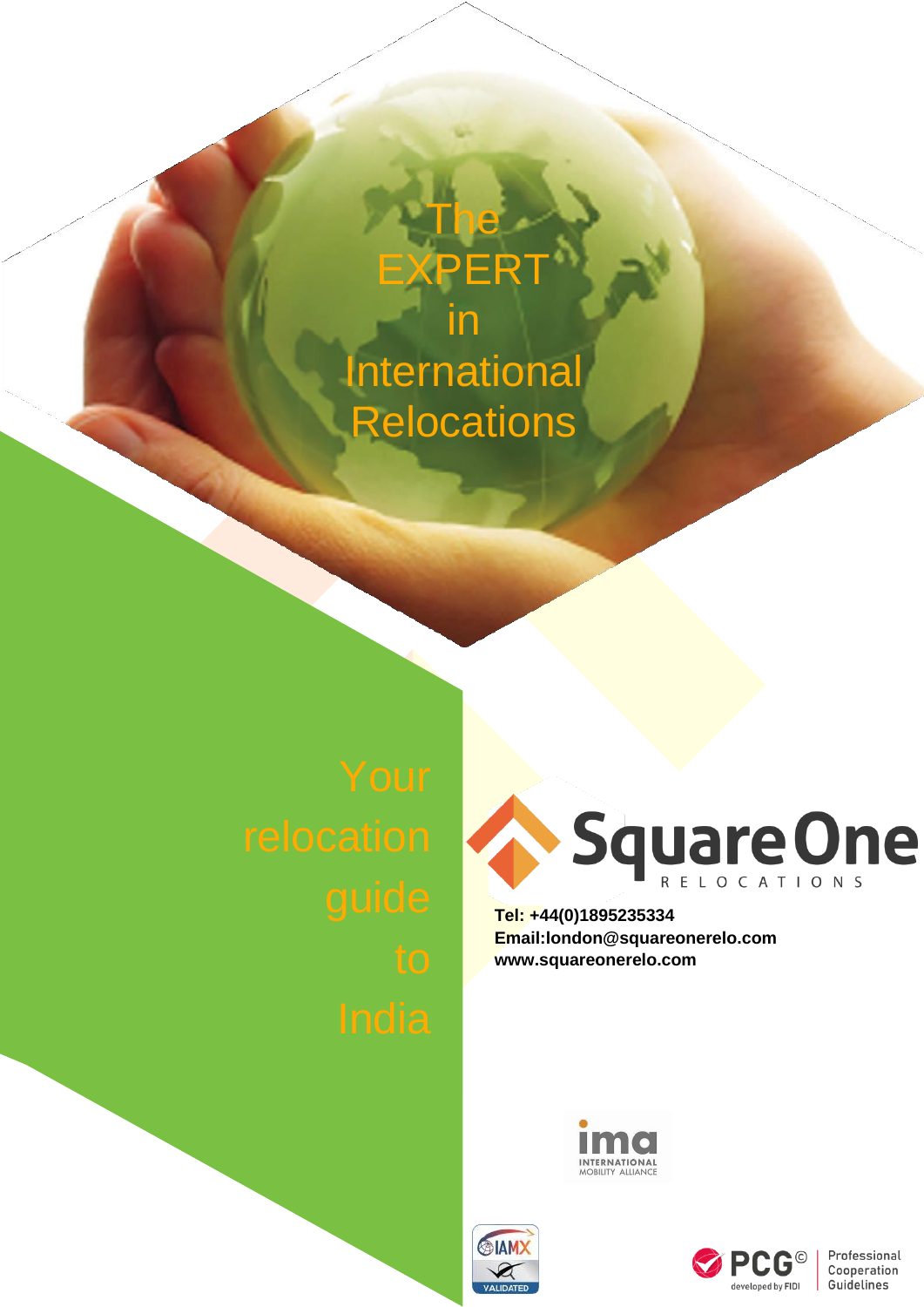# in **International Relocations**

The

**XPERT** 



**Tel: +44(0)1895235334 [Email:london@squareonerelo.com](mailto:london@squareonerelo.com) [www.squareonerelo.com](http://www.squareonerelo.com/)**







Professional Cooperation Guidelines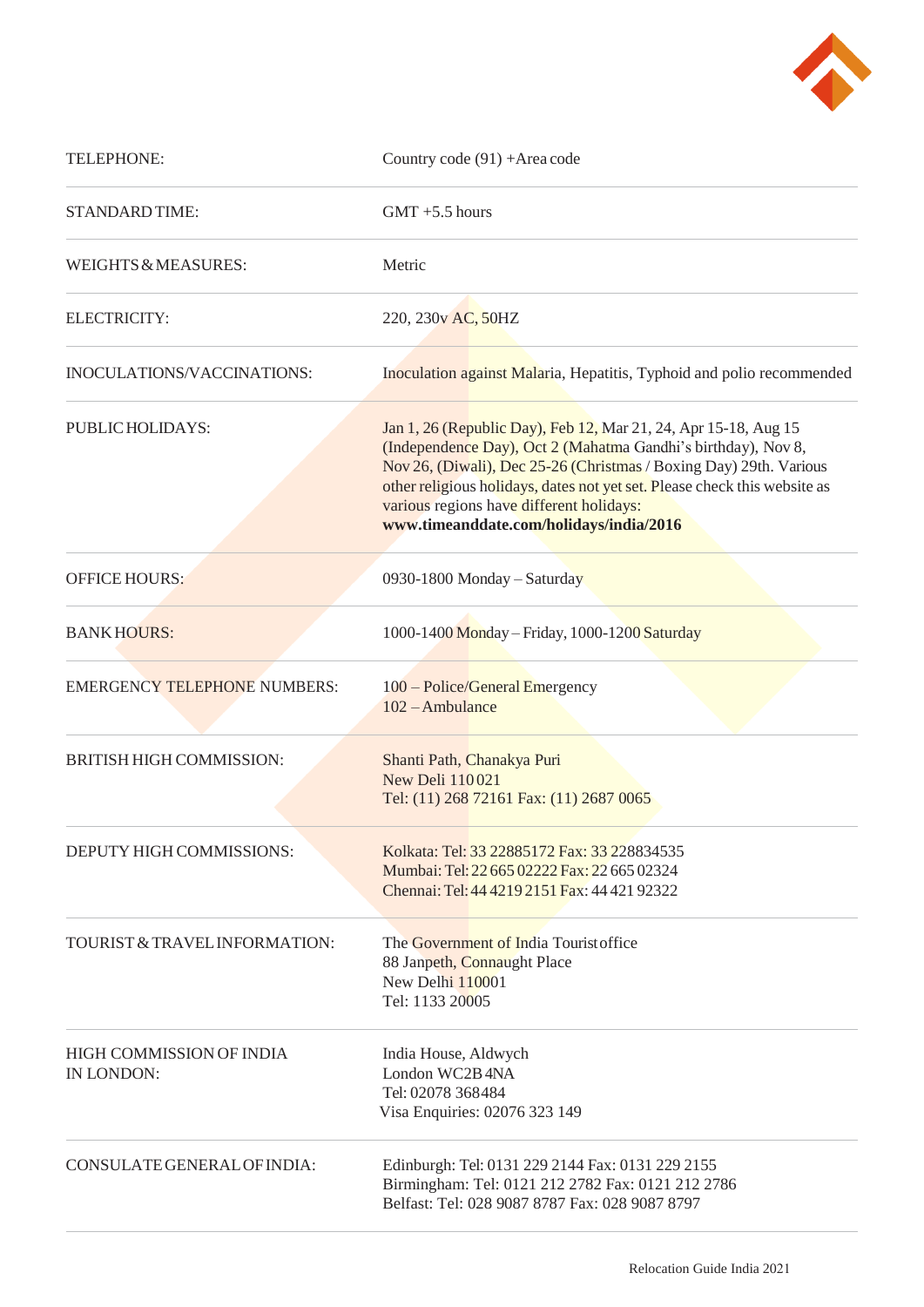

| TELEPHONE:                                    | Country code (91) + Area code                                                                                                                                                                                                                                                                                                                                              |
|-----------------------------------------------|----------------------------------------------------------------------------------------------------------------------------------------------------------------------------------------------------------------------------------------------------------------------------------------------------------------------------------------------------------------------------|
| <b>STANDARD TIME:</b>                         | $GMT + 5.5$ hours                                                                                                                                                                                                                                                                                                                                                          |
| WEIGHTS & MEASURES:                           | Metric                                                                                                                                                                                                                                                                                                                                                                     |
| ELECTRICITY:                                  | 220, 230v AC, 50HZ                                                                                                                                                                                                                                                                                                                                                         |
| INOCULATIONS/VACCINATIONS:                    | Inoculation against Malaria, Hepatitis, Typhoid and polio recommended                                                                                                                                                                                                                                                                                                      |
| PUBLIC HOLIDAYS:                              | Jan 1, 26 (Republic Day), Feb 12, Mar 21, 24, Apr 15-18, Aug 15<br>(Independence Day), Oct 2 (Mahatma Gandhi's birthday), Nov 8,<br>Nov 26, (Diwali), Dec 25-26 (Christmas / Boxing Day) 29th. Various<br>other religious holidays, dates not yet set. Please check this website as<br>various regions have different holidays:<br>www.timeanddate.com/holidays/india/2016 |
| <b>OFFICE HOURS:</b>                          | 0930-1800 Monday – Saturday                                                                                                                                                                                                                                                                                                                                                |
| <b>BANKHOURS:</b>                             | 1000-1400 Monday - Friday, 1000-1200 Saturday                                                                                                                                                                                                                                                                                                                              |
| <b>EMERGENCY TELEPHONE NUMBERS:</b>           | 100 - Police/General Emergency<br>102 - Ambulance                                                                                                                                                                                                                                                                                                                          |
| <b>BRITISH HIGH COMMISSION:</b>               | Shanti Path, Chanakya Puri<br><b>New Deli 110021</b><br>Tel: (11) 268 72161 Fax: (11) 2687 0065                                                                                                                                                                                                                                                                            |
| DEPUTY HIGH COMMISSIONS:                      | Kolkata: Tel: 33 22885172 Fax: 33 228834535<br>Mumbai: Tel: 22 665 02222 Fax: 22 665 02324<br>Chennai: Tel: 44 4219 2151 Fax: 44 421 92322                                                                                                                                                                                                                                 |
| TOURIST & TRAVEL INFORMATION:                 | The Government of India Tourist office<br>88 Janpeth, Connaught Place<br>New Delhi 110001<br>Tel: 1133 20005                                                                                                                                                                                                                                                               |
| <b>HIGH COMMISSION OF INDIA</b><br>IN LONDON: | India House, Aldwych<br>London WC2B 4NA<br>Tel: 02078 368484<br>Visa Enquiries: 02076 323 149                                                                                                                                                                                                                                                                              |
| CONSULATE GENERAL OF INDIA:                   | Edinburgh: Tel: 0131 229 2144 Fax: 0131 229 2155<br>Birmingham: Tel: 0121 212 2782 Fax: 0121 212 2786<br>Belfast: Tel: 028 9087 8787 Fax: 028 9087 8797                                                                                                                                                                                                                    |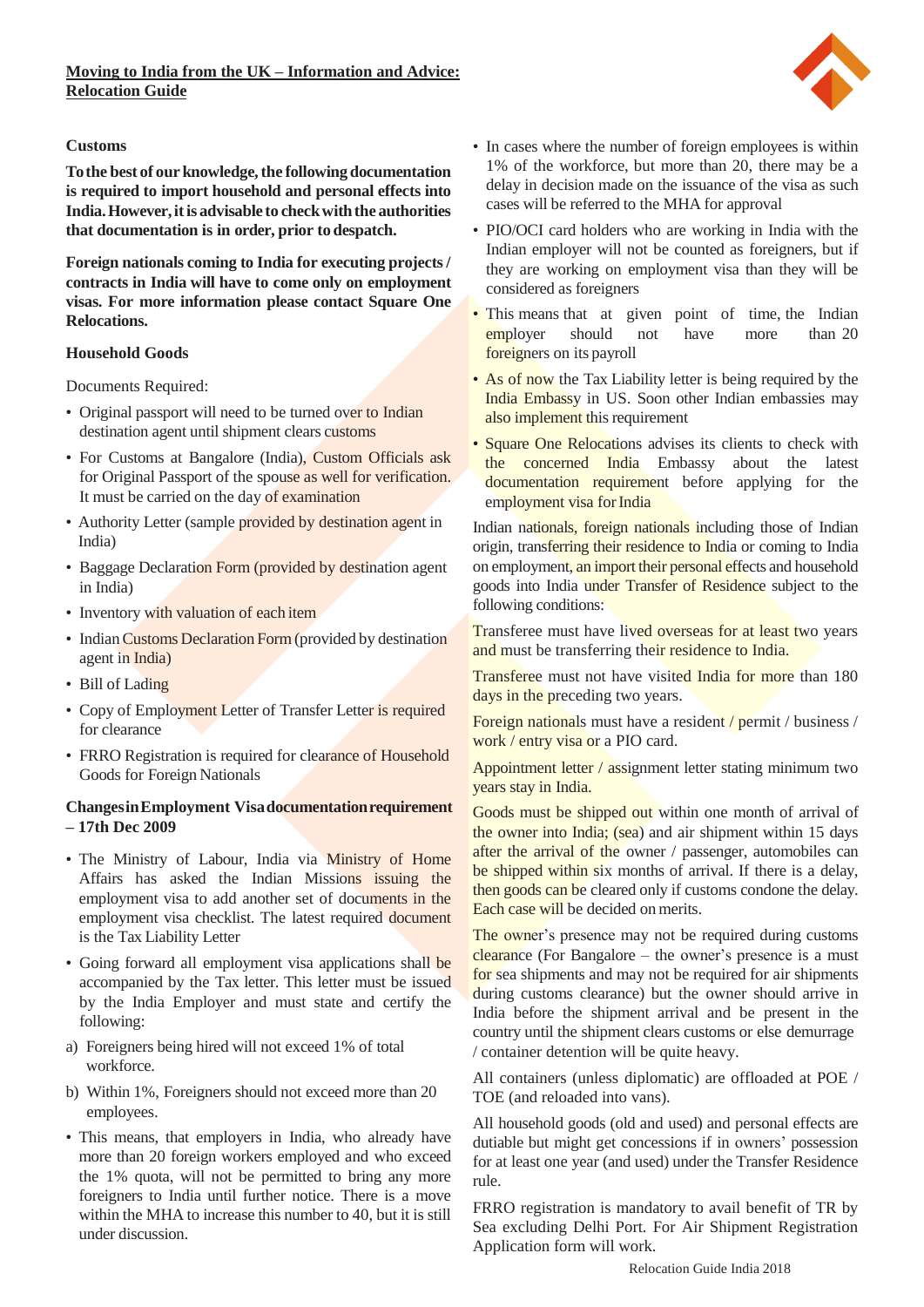

# **Customs**

**Tothe best of ourknowledge,the followingdocumentation is required to import household and personal effects into India.However,itis advisable to checkwiththe authorities that documentation is in order, prior todespatch.**

**Foreign nationals coming to India for executing projects/ contracts in India will have to come only on employment visas. For more information please contact Square One Relocations.**

# **Household Goods**

Documents Required:

- Original passport will need to be turned over to Indian destination agent until shipment clears customs
- For Customs at Bangalore (India), Custom Officials ask for Original Passport of the spouse as well for verification. It must be carried on the day of examination
- Authority Letter (sample provided by destination agent in India)
- Baggage Declaration Form (provided by destination agent in India)
- Inventory with valuation of each item
- Indian Customs Declaration Form (provided by destination agent in India)
- Bill of Lading
- Copy of Employment Letter of Transfer Letter is required for clearance
- FRRO Registration is required for clearance of Household Goods for Foreign Nationals

# **ChangesinEmployment Visadocumentationrequirement – 17th Dec 2009**

- The Ministry of Labour, India via Ministry of Home Affairs has asked the Indian Missions issuing the employment visa to add another set of documents in the employment visa checklist. The latest required document is the Tax Liability Letter
- Going forward all employment visa applications shall be accompanied by the Tax letter. This letter must be issued by the India Employer and must state and certify the following:
- a) Foreigners being hired will not exceed 1% of total workforce.
- b) Within 1%, Foreigners should not exceed more than 20 employees.
- This means, that employers in India, who already have more than 20 foreign workers employed and who exceed the 1% quota, will not be permitted to bring any more foreigners to India until further notice. There is a move within the MHA to increase this number to 40, but it is still under discussion.
- In cases where the number of foreign employees is within 1% of the workforce, but more than 20, there may be a delay in decision made on the issuance of the visa as such cases will be referred to the MHA for approval
- PIO/OCI card holders who are working in India with the Indian employer will not be counted as foreigners, but if they are working on employment visa than they will be considered as foreigners
- This means that at given point of time, the Indian employer should not have more than 20 employer should not have more foreigners on its payroll
- As of now the Tax Liability letter is being required by the India Embassy in US. Soon other Indian embassies may also implement this requirement
- Square One Relocations advises its clients to check with the concerned India Embassy about the latest documentation requirement before applying for the employment visa for India

Indian nationals, foreign nationals including those of Indian origin, transferring their residence to India or coming to India on employment, an import their personal effects and household goods into India under Transfer of Residence subject to the following conditions:

Transferee must have lived overseas for at least two years and must be transferring their residence to India.

Transferee must not have visited India for more than 180 days in the preceding two years.

Foreign nationals must have a resident / permit / business / work / entry visa or a PIO card.

Appointment letter / assignment letter stating minimum two years stay in India.

Goods must be shipped out within one month of arrival of the owner into India; (sea) and air shipment within 15 days after the arrival of the owner / passenger, automobiles can be shipped within six months of arrival. If there is a delay, then goods can be cleared only if customs condone the delay. Each case will be decided on merits.

The owner's presence may not be required during customs  $clearance$  (For Bangalore – the owner's presence is a must for sea shipments and may not be required for air shipments during customs clearance) but the owner should arrive in India before the shipment arrival and be present in the country until the shipment clears customs or else demurrage / container detention will be quite heavy.

All containers (unless diplomatic) are offloaded at POE / TOE (and reloaded into vans).

All household goods (old and used) and personal effects are dutiable but might get concessions if in owners' possession for at least one year (and used) under the Transfer Residence rule.

FRRO registration is mandatory to avail benefit of TR by Sea excluding Delhi Port. For Air Shipment Registration Application form will work.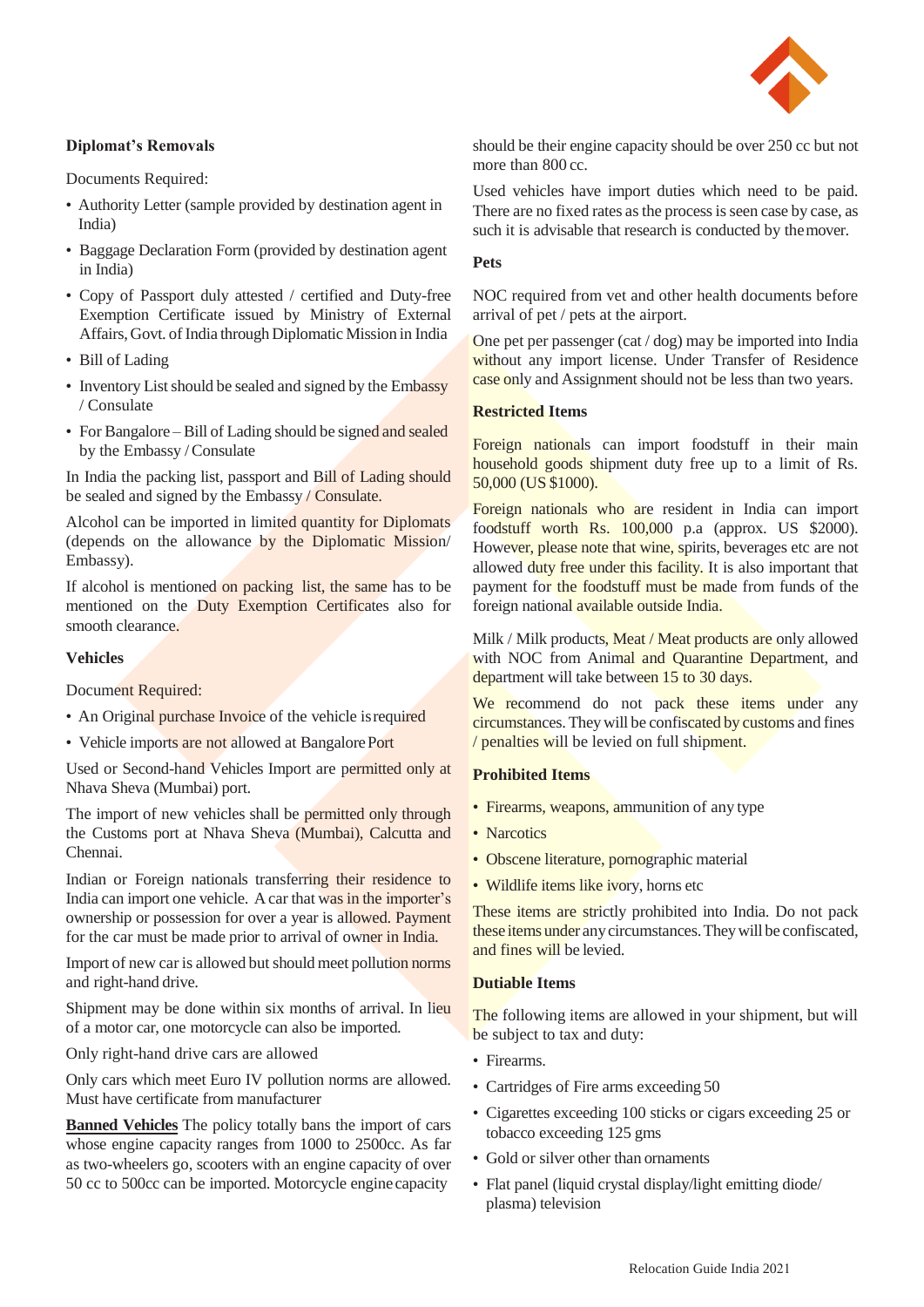

# **Diplomat's Removals**

Documents Required:

- Authority Letter (sample provided by destination agent in India)
- Baggage Declaration Form (provided by destination agent in India)
- Copy of Passport duly attested / certified and Duty-free Exemption Certificate issued by Ministry of External Affairs,Govt. of India through Diplomatic Mission in India
- Bill of Lading
- Inventory List should be sealed and signed by the Embassy / Consulate
- For Bangalore Bill of Lading should be signed and sealed by the Embassy /Consulate

In India the packing list, passport and Bill of Lading should be sealed and signed by the Embassy / Consulate.

Alcohol can be imported in limited quantity for Diplomats (depends on the allowance by the Diplomatic Mission/ Embassy).

If alcohol is mentioned on packing list, the same has to be mentioned on the Duty Exemption Certificates also for smooth clearance.

## **Vehicles**

Document Required:

- An Original purchase Invoice of the vehicle is required
- Vehicle imports are not allowed at Bangalore Port

Used or Second-hand Vehicles Import are permitted only at Nhava Sheva (Mumbai) port.

The import of new vehicles shall be permitted only through the Customs port at Nhava Sheva (Mumbai), Calcutta and Chennai.

Indian or Foreign nationals transferring their residence to India can import one vehicle. A car that was in the importer's ownership or possession for over a year is allowed. Payment for the car must be made prior to arrival of owner in India.

Import of new car is allowed but should meet pollution norms and right-hand drive.

Shipment may be done within six months of arrival. In lieu of a motor car, one motorcycle can also be imported.

Only right-hand drive cars are allowed

Only cars which meet Euro IV pollution norms are allowed. Must have certificate from manufacturer

**Banned Vehicles** The policy totally bans the import of cars whose engine capacity ranges from 1000 to 2500cc. As far as two-wheelers go, scooters with an engine capacity of over 50 cc to 500cc can be imported. Motorcycle engine capacity

should be their engine capacity should be over 250 cc but not more than 800 cc.

Used vehicles have import duties which need to be paid. There are no fixed rates as the process is seen case by case, as such it is advisable that research is conducted by themover.

# **Pets**

NOC required from vet and other health documents before arrival of pet / pets at the airport.

One pet per passenger (cat / dog) may be imported into India without any import license. Under Transfer of Residence case only and Assignment should not be less than two years.

# **Restricted Items**

Foreign nationals can import foodstuff in their main household goods shipment duty free up to a limit of Rs. 50,000 (US \$1000).

Foreign nationals who are resident in India can import foodstuff worth Rs. 100,000 p.a (approx. US \$2000). However, please note that wine, spirits, beverages etc are not allowed duty free under this facility. It is also important that payment for the foodstuff must be made from funds of the foreign national available outside India.

Milk / Milk products, Meat / Meat products are only allowed with NOC from Animal and Quarantine Department, and department will take between 15 to 30 days.

We recommend do not pack these items under any circumstances.Theywill be confiscated by customs and fines / penalties will be levied on full shipment.

# **Prohibited Items**

- Firearms, weapons, ammunition of any type
- Narcotics
- Obscene literature, pornographic material
- Wildlife items like ivory, horns etc

These items are strictly prohibited into India. Do not pack these items under anycircumstances.Theywill be confiscated, and fines will be levied.

#### **Dutiable Items**

The following items are allowed in your shipment, but will be subject to tax and duty:

- Firearms.
- Cartridges of Fire arms exceeding 50
- Cigarettes exceeding 100 sticks or cigars exceeding 25 or tobacco exceeding 125 gms
- Gold or silver other than ornaments
- Flat panel (liquid crystal display/light emitting diode/ plasma) television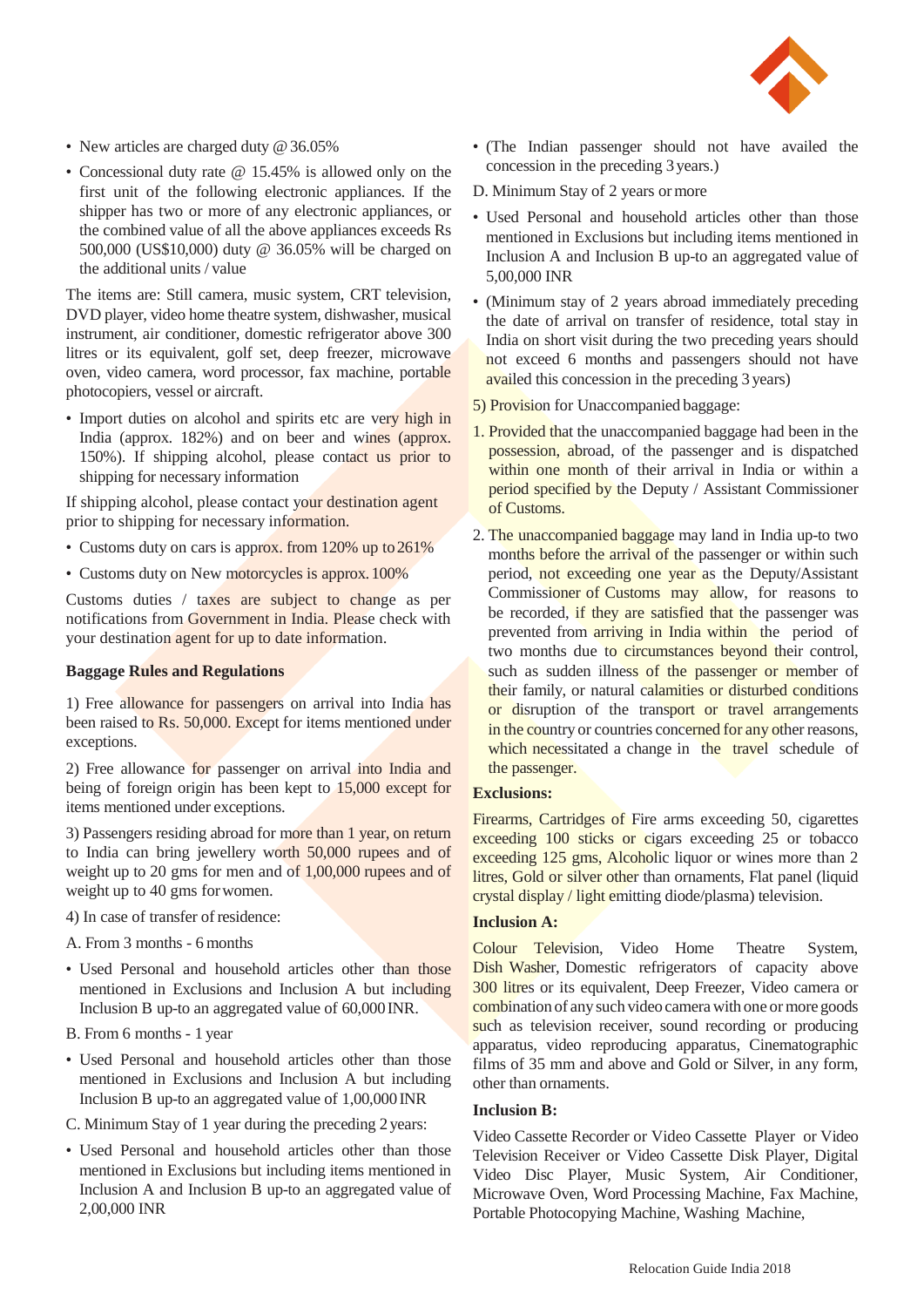

- New articles are charged duty @ 36.05%
- Concessional duty rate @ 15.45% is allowed only on the first unit of the following electronic appliances. If the shipper has two or more of any electronic appliances, or the combined value of all the above appliances exceeds Rs 500,000 (US\$10,000) duty @ 36.05% will be charged on the additional units / value

The items are: Still camera, music system, CRT television, DVD player, video home theatre system, dishwasher, musical instrument, air conditioner, domestic refrigerator above 300 litres or its equivalent, golf set, deep freezer, microwave oven, video camera, word processor, fax machine, portable photocopiers, vessel or aircraft.

• Import duties on alcohol and spirits etc are very high in India (approx. 182%) and on beer and wines (approx. 150%). If shipping alcohol, please contact us prior to shipping for necessary information

If shipping alcohol, please contact your destination agent prior to shipping for necessary information.

- Customs duty on cars is approx. from 120% up to 261%
- Customs duty on New motorcycles is approx. 100%

Customs duties / taxes are subject to change as per notifications from Government in India. Please check with your destination agent for up to date information.

#### **Baggage Rules and Regulations**

1) Free allowance for passengers on arrival into India has been raised to Rs. 50,000. Except for items mentioned under exceptions.

2) Free allowance for passenger on arrival into India and being of foreign origin has been kept to 15,000 except for items mentioned under exceptions.

3) Passengers residing abroad for more than 1 year, on return to India can bring jewellery worth 50,000 rupees and of weight up to 20 gms for men and of 1,00,000 rupees and of weight up to 40 gms forwomen.

- 4) In case of transfer of residence:
- A. From 3 months 6 months
- Used Personal and household articles other than those mentioned in Exclusions and Inclusion A but including Inclusion B up-to an aggregated value of 60,000INR.
- B. From 6 months 1 year
- Used Personal and household articles other than those mentioned in Exclusions and Inclusion A but including Inclusion B up-to an aggregated value of 1,00,000INR
- C. Minimum Stay of 1 year during the preceding 2years:
- Used Personal and household articles other than those mentioned in Exclusions but including items mentioned in Inclusion A and Inclusion B up-to an aggregated value of 2,00,000 INR
- (The Indian passenger should not have availed the concession in the preceding 3 years.)
- D. Minimum Stay of 2 years ormore
- Used Personal and household articles other than those mentioned in Exclusions but including items mentioned in Inclusion A and Inclusion B up-to an aggregated value of 5,00,000 INR
- (Minimum stay of 2 years abroad immediately preceding the date of arrival on transfer of residence, total stay in India on short visit during the two preceding years should not exceed 6 months and passengers should not have availed this concession in the preceding 3 years)
- 5) Provision for Unaccompanied baggage:
- 1. Provided that the unaccompanied baggage had been in the possession, abroad, of the passenger and is dispatched within one month of their arrival in India or within a period specified by the Deputy / Assistant Commissioner of Customs.
- 2. The unaccompanied baggage may land in India up-to two months before the arrival of the passenger or within such period, not exceeding one year as the Deputy/Assistant Commissioner of Customs may allow, for reasons to be recorded, if they are satisfied that the passenger was prevented from arriving in India within the period of two months due to circumstances beyond their control, such as sudden illness of the passenger or member of their family, or natural calamities or disturbed conditions or disruption of the transport or travel arrangements in the country or countries concerned for any other reasons, which necessitated a change in the travel schedule of the passenger.

# **Exclusions:**

Firearms, Cartridges of Fire arms exceeding 50, cigarettes exceeding 100 sticks or cigars exceeding 25 or tobacco exceeding 125 gms, Alcoholic liquor or wines more than 2 litres, Gold or silver other than ornaments, Flat panel (liquid crystal display / light emitting diode/plasma) television.

# **Inclusion A:**

Colour Television, Video Home Theatre System, Dish Washer, Domestic refrigerators of capacity above 300 litres or its equivalent, Deep Freezer, Video camera or combination of any such video camera with one or more goods such as television receiver, sound recording or producing apparatus, video reproducing apparatus, Cinematographic films of 35 mm and above and Gold or Silver, in any form, other than ornaments.

# **Inclusion B:**

Video Cassette Recorder or Video Cassette Player or Video Television Receiver or Video Cassette Disk Player, Digital Video Disc Player, Music System, Air Conditioner, Microwave Oven, Word Processing Machine, Fax Machine, Portable Photocopying Machine, Washing Machine,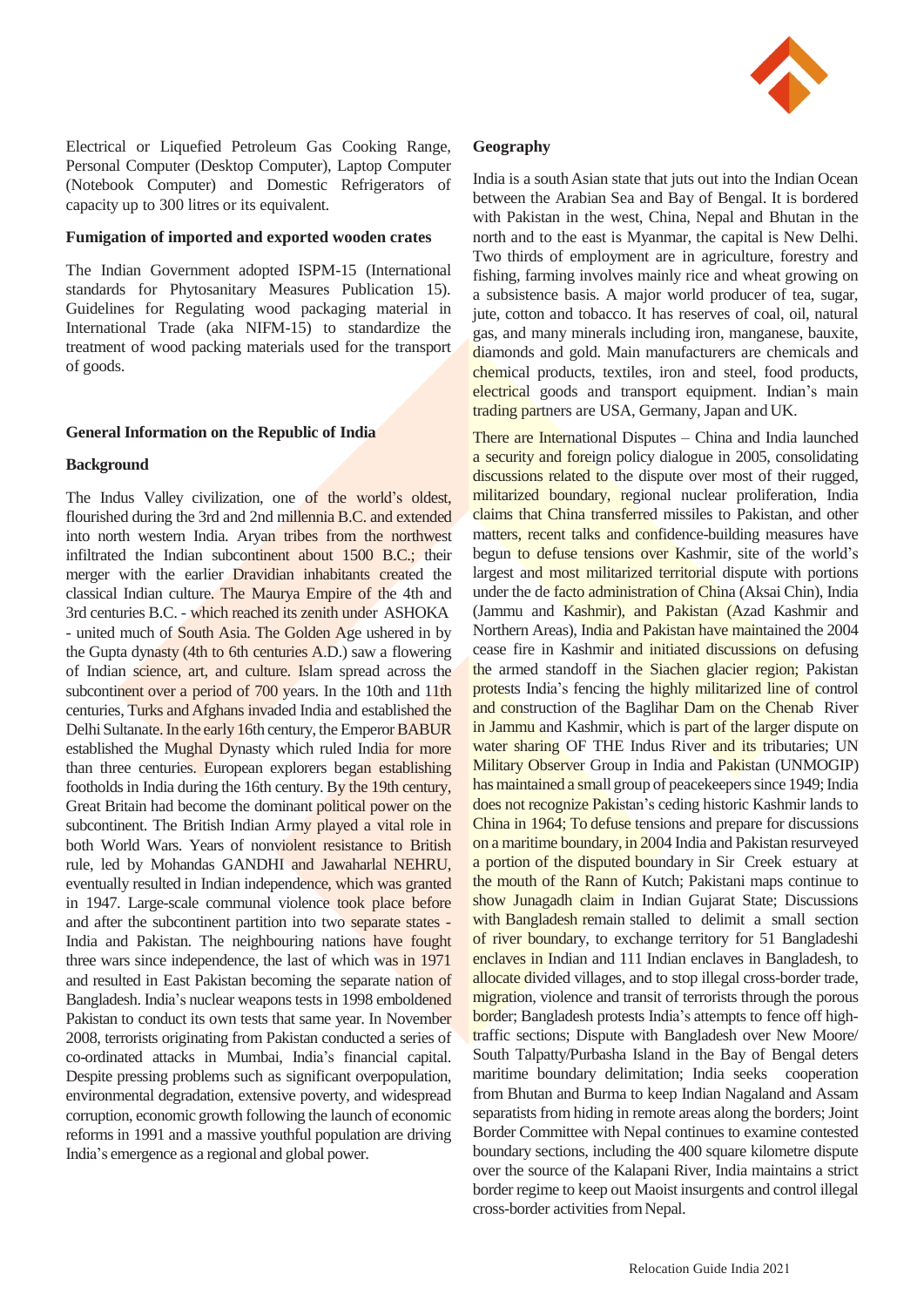

Electrical or Liquefied Petroleum Gas Cooking Range, Personal Computer (Desktop Computer), Laptop Computer (Notebook Computer) and Domestic Refrigerators of capacity up to 300 litres or its equivalent.

#### **Fumigation of imported and exported wooden crates**

The Indian Government adopted ISPM-15 (International standards for Phytosanitary Measures Publication 15). Guidelines for Regulating wood packaging material in International Trade (aka NIFM-15) to standardize the treatment of wood packing materials used for the transport of goods.

#### **General Information on the Republic of India**

#### **Background**

The Indus Valley civilization, one of the world's oldest, flourished during the 3rd and 2nd millennia B.C. and extended into north western India. Aryan tribes from the northwest infiltrated the Indian subcontinent about 1500 B.C.; their merger with the earlier Dravidian inhabitants created the classical Indian culture. The Maurya Empire of the 4th and 3rd centuries B.C. - which reached its zenith under ASHOKA - united much of South Asia. The Golden Age ushered in by the Gupta dynasty (4th to 6th centuries A.D.) saw a flowering of Indian science, art, and culture. Islam spread across the subcontinent over a period of 700 years. In the 10th and 11th centuries, Turks and Afghans invaded India and established the Delhi Sultanate. In the early 16th century, the Emperor BABUR established the Mughal Dynasty which ruled India for more than three centuries. European explorers began establishing footholds in India during the 16th century. By the 19th century, Great Britain had become the dominant political power on the subcontinent. The British Indian Army played a vital role in both World Wars. Years of nonviolent resistance to British rule, led by Mohandas GANDHI and Jawaharlal NEHRU, eventually resulted in Indian independence, which was granted in 1947. Large-scale communal violence took place before and after the subcontinent partition into two separate states - India and Pakistan. The neighbouring nations have fought three wars since independence, the last of which was in 1971 and resulted in East Pakistan becoming the separate nation of Bangladesh. India's nuclear weapons tests in 1998 emboldened Pakistan to conduct its own tests that same year. In November 2008, terrorists originating from Pakistan conducted a series of co-ordinated attacks in Mumbai, India's financial capital. Despite pressing problems such as significant overpopulation, environmental degradation, extensive poverty, and widespread corruption, economic growth following the launch of economic reforms in 1991 and a massive youthful population are driving India's emergence as a regional and global power.

#### **Geography**

India is a south Asian state that juts out into the Indian Ocean between the Arabian Sea and Bay of Bengal. It is bordered with Pakistan in the west, China, Nepal and Bhutan in the north and to the east is Myanmar, the capital is New Delhi. Two thirds of employment are in agriculture, forestry and fishing, farming involves mainly rice and wheat growing on a subsistence basis. A major world producer of tea, sugar, jute, cotton and tobacco. It has reserves of coal, oil, natural gas, and many minerals including iron, manganese, bauxite, diamonds and gold. Main manufacturers are chemicals and chemical products, textiles, iron and steel, food products, electrical goods and transport equipment. Indian's main trading partners are USA, Germany, Japan and UK.

There are International Disputes – China and India launched a security and foreign policy dialogue in 2005, consolidating discussions related to the dispute over most of their rugged, militarized boundary, regional nuclear proliferation, India claims that China transferred missiles to Pakistan, and other matters, recent talks and confidence-building measures have begun to defuse tensions over Kashmir, site of the world's largest and most militarized territorial dispute with portions under the de facto administration of China (Aksai Chin), India (Jammu and Kashmir), and Pakistan (Azad Kashmir and Northern Areas), India and Pakistan have maintained the 2004 cease fire in Kashmir and initiated discussions on defusing the armed standoff in the Siachen glacier region; Pakistan protests India's fencing the highly militarized line of control and construction of the Baglihar Dam on the Chenab River in Jammu and Kashmir, which is part of the larger dispute on water sharing OF THE Indus River and its tributaries; UN Military Observer Group in India and Pakistan (UNMOGIP) has maintained a small group of peacekeepers since 1949; India does not recognize Pakistan's ceding historic Kashmir lands to China in 1964; To defuse tensions and prepare for discussions on a maritime boundary, in 2004 India and Pakistan resurveyed a portion of the disputed boundary in Sir Creek estuary at the mouth of the Rann of Kutch; Pakistani maps continue to show Junagadh claim in Indian Gujarat State; Discussions with Bangladesh remain stalled to delimit a small section of river boundary, to exchange territory for 51 Bangladeshi enclaves in Indian and 111 Indian enclaves in Bangladesh, to allocate divided villages, and to stop illegal cross-border trade, migration, violence and transit of terrorists through the porous border; Bangladesh protests India's attempts to fence off hightraffic sections; Dispute with Bangladesh over New Moore/ South Talpatty/Purbasha Island in the Bay of Bengal deters maritime boundary delimitation; India seeks cooperation from Bhutan and Burma to keep Indian Nagaland and Assam separatists from hiding in remote areas along the borders; Joint Border Committee with Nepal continues to examine contested boundary sections, including the 400 square kilometre dispute over the source of the Kalapani River, India maintains a strict border regime to keep out Maoist insurgents and control illegal cross-border activities fromNepal.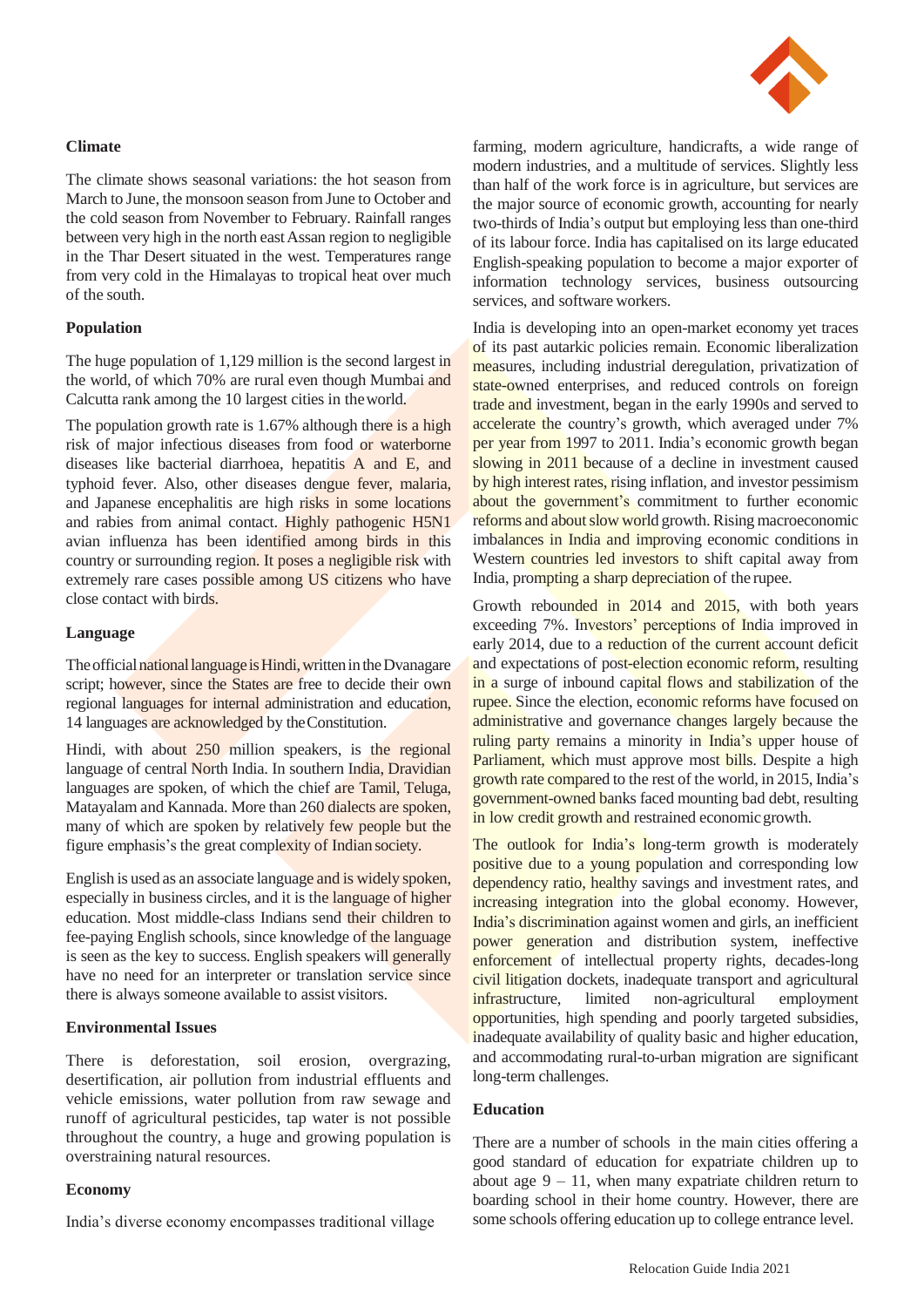# **Climate**

The climate shows seasonal variations: the hot season from March to June, the monsoon season from June to October and the cold season from November to February. Rainfall ranges between very high in the north east Assan region to negligible in the Thar Desert situated in the west. Temperatures range from very cold in the Himalayas to tropical heat over much of the south.

# **Population**

The huge population of 1,129 million is the second largest in the world, of which 70% are rural even though Mumbai and Calcutta rank among the 10 largest cities in theworld.

The population growth rate is 1.67% although there is a high risk of major infectious diseases from food or waterborne diseases like bacterial diarrhoea, hepatitis A and E, and typhoid fever. Also, other diseases dengue fever, malaria, and Japanese encephalitis are high risks in some locations and rabies from animal contact. Highly pathogenic H5N1 avian influenza has been identified among birds in this country or surrounding region. It poses a negligible risk with extremely rare cases possible among US citizens who have close contact with birds.

# **Language**

The official national language is Hindi, written in the Dvanagare script; however, since the States are free to decide their own regional languages for internal administration and education, 14 languages are acknowledged by theConstitution.

Hindi, with about 250 million speakers, is the regional language of central North India. In southern India, Dravidian languages are spoken, of which the chief are Tamil, Teluga, Matayalam and Kannada. More than 260 dialects are spoken, many of which are spoken by relatively few people but the figure emphasis's the great complexity of Indian society.

English is used as an associate language and is widely spoken, especially in business circles, and it is the language of higher education. Most middle-class Indians send their children to fee-paying English schools, since knowledge of the language is seen as the key to success. English speakers will generally have no need for an interpreter or translation service since there is always someone available to assist visitors.

#### **Environmental Issues**

There is deforestation, soil erosion, overgrazing, desertification, air pollution from industrial effluents and vehicle emissions, water pollution from raw sewage and runoff of agricultural pesticides, tap water is not possible throughout the country, a huge and growing population is overstraining natural resources.

#### **Economy**

India's diverse economy encompasses traditional village

farming, modern agriculture, handicrafts, a wide range of modern industries, and a multitude of services. Slightly less than half of the work force is in agriculture, but services are the major source of economic growth, accounting for nearly two-thirds of India's output but employing less than one-third of its labour force. India has capitalised on its large educated English-speaking population to become a major exporter of information technology services, business outsourcing services, and software workers.

India is developing into an open-market economy yet traces of its past autarkic policies remain. Economic liberalization measures, including industrial deregulation, privatization of state-owned enterprises, and reduced controls on foreign trade and investment, began in the early 1990s and served to accelerate the country's growth, which averaged under 7% per year from 1997 to 2011. India's economic growth began slowing in 2011 because of a decline in investment caused by high interest rates, rising inflation, and investor pessimism about the government's commitment to further economic reforms and about slow world growth. Rising macroeconomic imbalances in India and improving economic conditions in Western countries led investors to shift capital away from India, prompting a sharp depreciation of the rupee.

Growth rebounded in 2014 and 2015, with both years exceeding 7%. Investors' perceptions of India improved in early 2014, due to a reduction of the current account deficit and expectations of post-election economic reform, resulting in a surge of inbound capital flows and stabilization of the rupee. Since the election, economic reforms have focused on administrative and governance changes largely because the ruling party remains a minority in India's upper house of Parliament, which must approve most bills. Despite a high growth rate compared to the rest of the world, in 2015, India's government-owned banks faced mounting bad debt, resulting in low credit growth and restrained economic growth.

The outlook for India's long-term growth is moderately positive due to a young population and corresponding low dependency ratio, healthy savings and investment rates, and increasing integration into the global economy. However, India's discrimination against women and girls, an inefficient power generation and distribution system, ineffective enforcement of intellectual property rights, decades-long civil litigation dockets, inadequate transport and agricultural infrastructure, limited non-agricultural employment opportunities, high spending and poorly targeted subsidies, inadequate availability of quality basic and higher education, and accommodating rural-to-urban migration are significant long-term challenges.

# **Education**

There are a number of schools in the main cities offering a good standard of education for expatriate children up to about age  $9 - 11$ , when many expatriate children return to boarding school in their home country. However, there are some schools offering education up to college entrance level.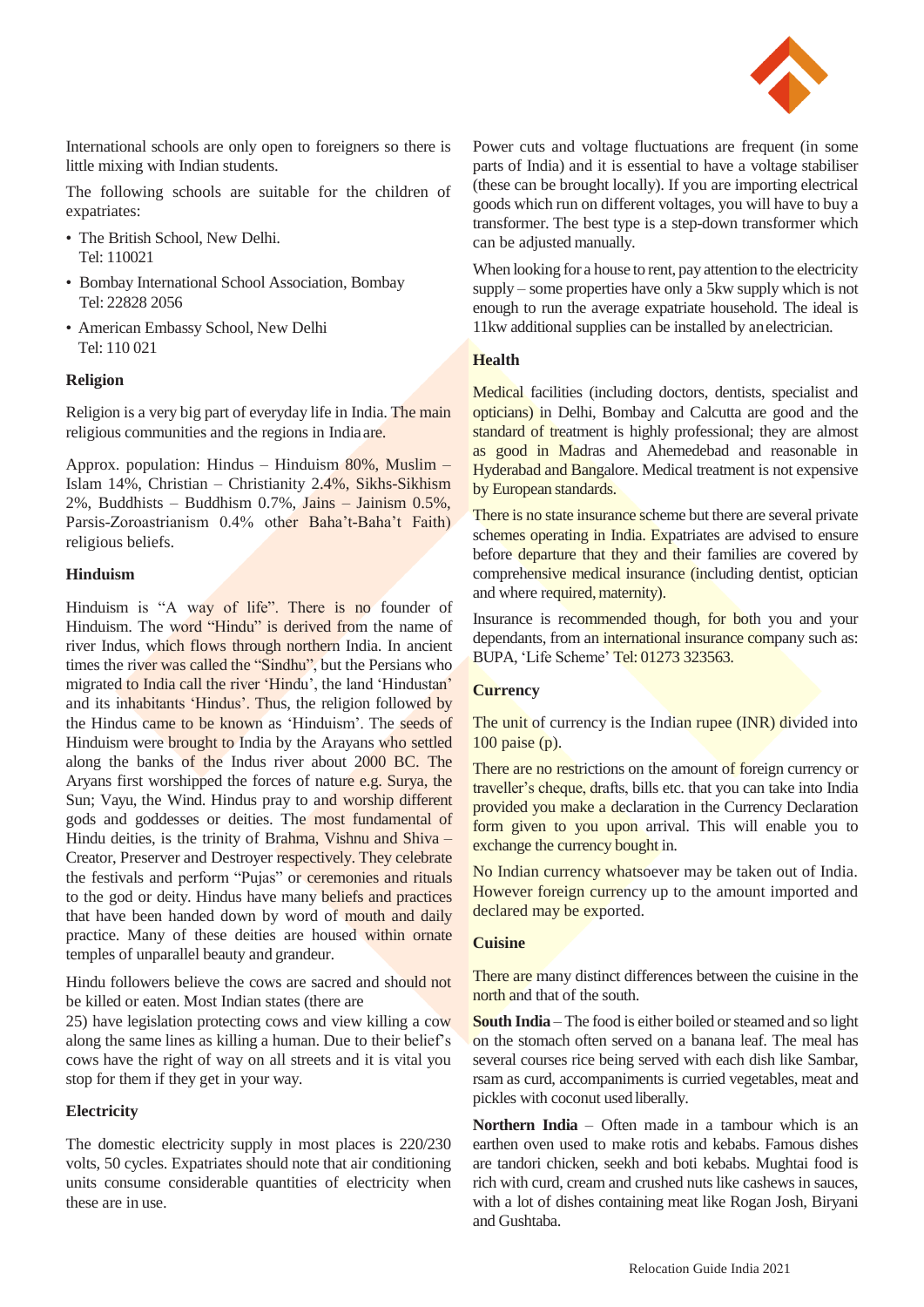

International schools are only open to foreigners so there is little mixing with Indian students.

The following schools are suitable for the children of expatriates:

- The British School, New Delhi. Tel: 110021
- Bombay International School Association, Bombay Tel: 22828 2056
- American Embassy School, New Delhi Tel: 110 021

#### **Religion**

Religion is a very big part of everyday life in India. The main religious communities and the regions in Indiaare.

Approx. population: Hindus – Hinduism 80%, Muslim – Islam 14%, Christian – Christianity 2.4%, Sikhs-Sikhism  $2\%$ , Buddhists – Buddhism 0.7%, Jains – Jainism 0.5%, Parsis-Zoroastrianism 0.4% other Baha't-Baha't Faith) religious beliefs.

# **Hinduism**

Hinduism is "A way of life". There is no founder of Hinduism. The word "Hindu" is derived from the name of river Indus, which flows through northern India. In ancient times the river was called the "Sindhu", but the Persians who migrated to India call the river 'Hindu', the land 'Hindustan' and its inhabitants 'Hindus'. Thus, the religion followed by the Hindus came to be known as 'Hinduism'. The seeds of Hinduism were brought to India by the Arayans who settled along the banks of the Indus river about 2000 BC. The Aryans first worshipped the forces of nature e.g. Surya, the Sun; Vayu, the Wind. Hindus pray to and worship different gods and goddesses or deities. The most fundamental of Hindu deities, is the trinity of Brahma, Vishnu and Shiva – Creator, Preserver and Destroyer respectively. They celebrate the festivals and perform "Pujas" or ceremonies and rituals to the god or deity. Hindus have many beliefs and practices that have been handed down by word of mouth and daily practice. Many of these deities are housed within ornate temples of unparallel beauty and grandeur.

Hindu followers believe the cows are sacred and should not be killed or eaten. Most Indian states (there are

25) have legislation protecting cows and view killing a cow along the same lines as killing a human. Due to their belief's cows have the right of way on all streets and it is vital you stop for them if they get in your way.

#### **Electricity**

The domestic electricity supply in most places is 220/230 volts, 50 cycles. Expatriates should note that air conditioning units consume considerable quantities of electricity when these are in use.

Power cuts and voltage fluctuations are frequent (in some parts of India) and it is essential to have a voltage stabiliser (these can be brought locally). If you are importing electrical goods which run on different voltages, you will have to buy a transformer. The best type is a step-down transformer which can be adjusted manually.

When looking for a house to rent, pay attention to the electricity supply – some properties have only a 5kw supply which is not enough to run the average expatriate household. The ideal is 11kw additional supplies can be installed by anelectrician.

# **Health**

Medical facilities (including doctors, dentists, specialist and opticians) in Delhi, Bombay and Calcutta are good and the standard of treatment is highly professional; they are almost as good in Madras and Ahemedebad and reasonable in Hyderabad and Bangalore. Medical treatment is not expensive by European standards.

There is no state insurance scheme but there are several private schemes operating in India. Expatriates are advised to ensure before departure that they and their families are covered by comprehensive medical insurance (including dentist, optician and where required, maternity).

Insurance is recommended though, for both you and your dependants, from an international insurance company such as: BUPA, 'Life Scheme' Tel: 01273 323563.

## **Currency**

The unit of currency is the Indian rupee (INR) divided into 100 paise (p).

There are no restrictions on the amount of foreign currency or traveller's cheque, drafts, bills etc. that you can take into India provided you make a declaration in the Currency Declaration form given to you upon arrival. This will enable you to exchange the currency bought in.

No Indian currency whatsoever may be taken out of India. However foreign currency up to the amount imported and declared may be exported.

# **Cuisine**

There are many distinct differences between the cuisine in the north and that of the south.

**South India** – The food is either boiled or steamed and so light on the stomach often served on a banana leaf. The meal has several courses rice being served with each dish like Sambar, rsam as curd, accompaniments is curried vegetables, meat and pickles with coconut used liberally.

**Northern India** – Often made in a tambour which is an earthen oven used to make rotis and kebabs. Famous dishes are tandori chicken, seekh and boti kebabs. Mughtai food is rich with curd, cream and crushed nuts like cashews in sauces, with a lot of dishes containing meat like Rogan Josh, Biryani and Gushtaba.